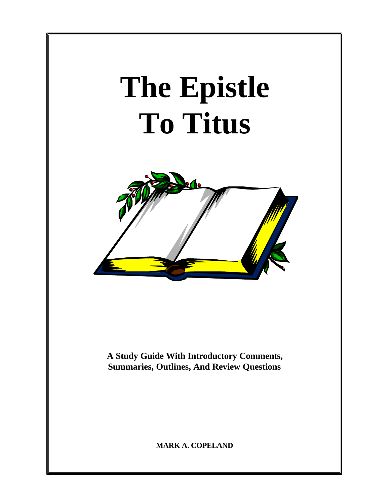# **The Epistle To Titus**



**A Study Guide With Introductory Comments, Summaries, Outlines, And Review Questions**

**MARK A. COPELAND**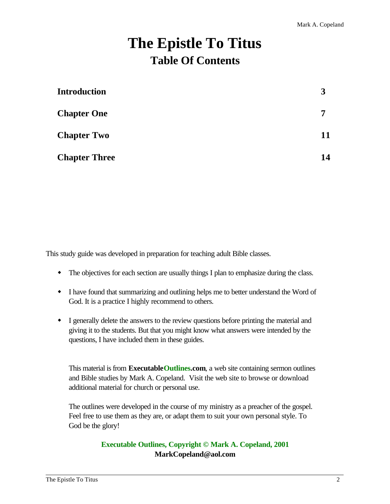# **The Epistle To Titus Table Of Contents**

| <b>Introduction</b>  | 3  |
|----------------------|----|
| <b>Chapter One</b>   | 7  |
| <b>Chapter Two</b>   | 11 |
| <b>Chapter Three</b> | 14 |

This study guide was developed in preparation for teaching adult Bible classes.

- The objectives for each section are usually things I plan to emphasize during the class.
- I have found that summarizing and outlining helps me to better understand the Word of God. It is a practice I highly recommend to others.
- w I generally delete the answers to the review questions before printing the material and giving it to the students. But that you might know what answers were intended by the questions, I have included them in these guides.

This material is from **ExecutableOutlines.com**, a web site containing sermon outlines and Bible studies by Mark A. Copeland. Visit the web site to browse or download additional material for church or personal use.

The outlines were developed in the course of my ministry as a preacher of the gospel. Feel free to use them as they are, or adapt them to suit your own personal style. To God be the glory!

#### **Executable Outlines, Copyright © Mark A. Copeland, 2001 MarkCopeland@aol.com**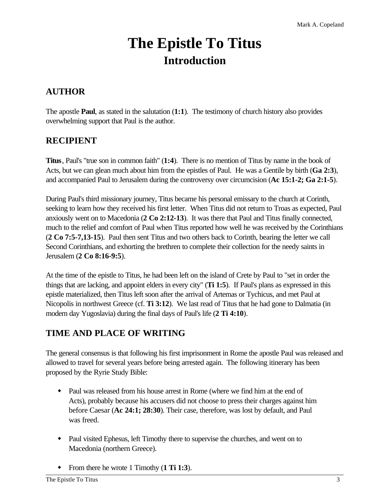# **The Epistle To Titus Introduction**

# **AUTHOR**

The apostle **Paul**, as stated in the salutation (**1:1**). The testimony of church history also provides overwhelming support that Paul is the author.

# **RECIPIENT**

**Titus**, Paul's "true son in common faith" (**1:4**). There is no mention of Titus by name in the book of Acts, but we can glean much about him from the epistles of Paul. He was a Gentile by birth (**Ga 2:3**), and accompanied Paul to Jerusalem during the controversy over circumcision (**Ac 15:1-2; Ga 2:1-5**).

During Paul's third missionary journey, Titus became his personal emissary to the church at Corinth, seeking to learn how they received his first letter. When Titus did not return to Troas as expected, Paul anxiously went on to Macedonia (**2 Co 2:12-13**). It was there that Paul and Titus finally connected, much to the relief and comfort of Paul when Titus reported how well he was received by the Corinthians (**2 Co 7:5-7,13-15**). Paul then sent Titus and two others back to Corinth, bearing the letter we call Second Corinthians, and exhorting the brethren to complete their collection for the needy saints in Jerusalem (**2 Co 8:16-9:5**).

At the time of the epistle to Titus, he had been left on the island of Crete by Paul to "set in order the things that are lacking, and appoint elders in every city" (**Ti 1:5**). If Paul's plans as expressed in this epistle materialized, then Titus left soon after the arrival of Artemas or Tychicus, and met Paul at Nicopolis in northwest Greece (cf. **Ti 3:12**). We last read of Titus that he had gone to Dalmatia (in modern day Yugoslavia) during the final days of Paul's life (**2 Ti 4:10**).

# **TIME AND PLACE OF WRITING**

The general consensus is that following his first imprisonment in Rome the apostle Paul was released and allowed to travel for several years before being arrested again. The following itinerary has been proposed by the Ryrie Study Bible:

- Paul was released from his house arrest in Rome (where we find him at the end of Acts), probably because his accusers did not choose to press their charges against him before Caesar (**Ac 24:1; 28:30**). Their case, therefore, was lost by default, and Paul was freed.
- Paul visited Ephesus, left Timothy there to supervise the churches, and went on to Macedonia (northern Greece).
- w From there he wrote 1 Timothy (**1 Ti 1:3**).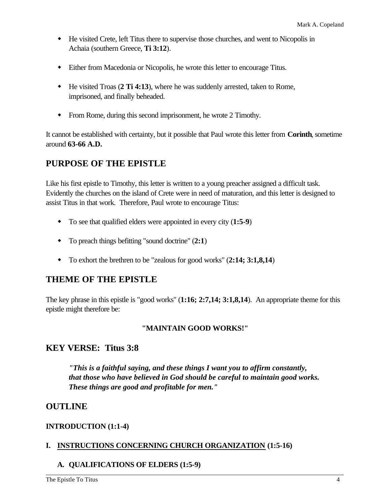- w He visited Crete, left Titus there to supervise those churches, and went to Nicopolis in Achaia (southern Greece, **Ti 3:12**).
- w Either from Macedonia or Nicopolis, he wrote this letter to encourage Titus.
- w He visited Troas (**2 Ti 4:13**), where he was suddenly arrested, taken to Rome, imprisoned, and finally beheaded.
- From Rome, during this second imprisonment, he wrote 2 Timothy.

It cannot be established with certainty, but it possible that Paul wrote this letter from **Corinth**, sometime around **63-66 A.D.**

# **PURPOSE OF THE EPISTLE**

Like his first epistle to Timothy, this letter is written to a young preacher assigned a difficult task. Evidently the churches on the island of Crete were in need of maturation, and this letter is designed to assist Titus in that work. Therefore, Paul wrote to encourage Titus:

- w To see that qualified elders were appointed in every city (**1:5-9**)
- To preach things befitting "sound doctrine"  $(2:1)$
- w To exhort the brethren to be "zealous for good works" (**2:14; 3:1,8,14**)

# **THEME OF THE EPISTLE**

The key phrase in this epistle is "good works" (**1:16; 2:7,14; 3:1,8,14**). An appropriate theme for this epistle might therefore be:

#### **"MAINTAIN GOOD WORKS!"**

## **KEY VERSE: Titus 3:8**

*"This is a faithful saying, and these things I want you to affirm constantly, that those who have believed in God should be careful to maintain good works. These things are good and profitable for men."*

## **OUTLINE**

#### **INTRODUCTION (1:1-4)**

#### **I. INSTRUCTIONS CONCERNING CHURCH ORGANIZATION (1:5-16)**

#### **A. QUALIFICATIONS OF ELDERS (1:5-9)**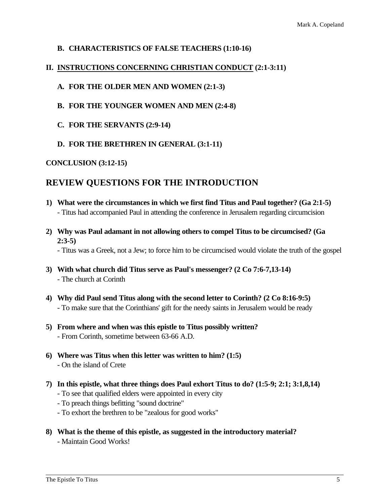#### **B. CHARACTERISTICS OF FALSE TEACHERS (1:10-16)**

#### **II. INSTRUCTIONS CONCERNING CHRISTIAN CONDUCT (2:1-3:11)**

#### **A. FOR THE OLDER MEN AND WOMEN (2:1-3)**

- **B. FOR THE YOUNGER WOMEN AND MEN (2:4-8)**
- **C. FOR THE SERVANTS (2:9-14)**
- **D. FOR THE BRETHREN IN GENERAL (3:1-11)**

#### **CONCLUSION (3:12-15)**

#### **REVIEW QUESTIONS FOR THE INTRODUCTION**

- **1) What were the circumstances in which we first find Titus and Paul together? (Ga 2:1-5)** - Titus had accompanied Paul in attending the conference in Jerusalem regarding circumcision
- **2) Why was Paul adamant in not allowing others to compel Titus to be circumcised? (Ga 2:3-5)**

- Titus was a Greek, not a Jew; to force him to be circumcised would violate the truth of the gospel

- **3) With what church did Titus serve as Paul's messenger? (2 Co 7:6-7,13-14)** - The church at Corinth
- **4) Why did Paul send Titus along with the second letter to Corinth? (2 Co 8:16-9:5)** - To make sure that the Corinthians' gift for the needy saints in Jerusalem would be ready
- **5) From where and when was this epistle to Titus possibly written?** - From Corinth, sometime between 63-66 A.D.
- **6) Where was Titus when this letter was written to him? (1:5)** - On the island of Crete
- **7) In this epistle, what three things does Paul exhort Titus to do? (1:5-9; 2:1; 3:1,8,14)** - To see that qualified elders were appointed in every city
	- To preach things befitting "sound doctrine"
	- To exhort the brethren to be "zealous for good works"
- **8) What is the theme of this epistle, as suggested in the introductory material?** - Maintain Good Works!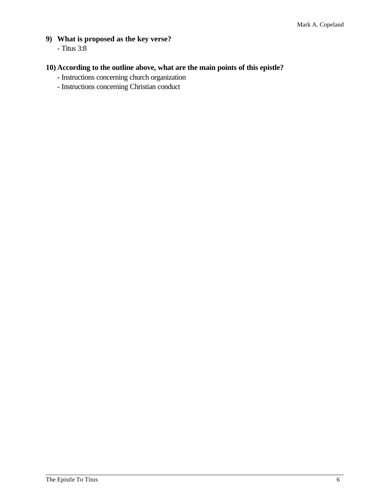- **9) What is proposed as the key verse?**
	- Titus 3:8

### **10) According to the outline above, what are the main points of this epistle?**

- Instructions concerning church organization
- Instructions concerning Christian conduct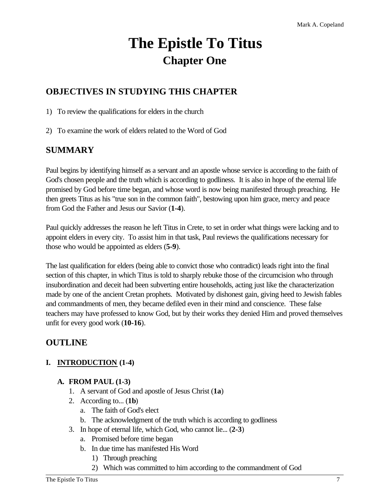# **The Epistle To Titus Chapter One**

# **OBJECTIVES IN STUDYING THIS CHAPTER**

1) To review the qualifications for elders in the church

2) To examine the work of elders related to the Word of God

## **SUMMARY**

Paul begins by identifying himself as a servant and an apostle whose service is according to the faith of God's chosen people and the truth which is according to godliness. It is also in hope of the eternal life promised by God before time began, and whose word is now being manifested through preaching. He then greets Titus as his "true son in the common faith", bestowing upon him grace, mercy and peace from God the Father and Jesus our Savior (**1-4**).

Paul quickly addresses the reason he left Titus in Crete, to set in order what things were lacking and to appoint elders in every city. To assist him in that task, Paul reviews the qualifications necessary for those who would be appointed as elders (**5-9**).

The last qualification for elders (being able to convict those who contradict) leads right into the final section of this chapter, in which Titus is told to sharply rebuke those of the circumcision who through insubordination and deceit had been subverting entire households, acting just like the characterization made by one of the ancient Cretan prophets. Motivated by dishonest gain, giving heed to Jewish fables and commandments of men, they became defiled even in their mind and conscience. These false teachers may have professed to know God, but by their works they denied Him and proved themselves unfit for every good work (**10-16**).

# **OUTLINE**

#### **I. INTRODUCTION (1-4)**

#### **A. FROM PAUL (1-3)**

- 1. A servant of God and apostle of Jesus Christ (**1a**)
- 2. According to... (**1b**)
	- a. The faith of God's elect
	- b. The acknowledgment of the truth which is according to godliness
- 3. In hope of eternal life, which God, who cannot lie... (**2-3**)
	- a. Promised before time began
	- b. In due time has manifested His Word
		- 1) Through preaching
		- 2) Which was committed to him according to the commandment of God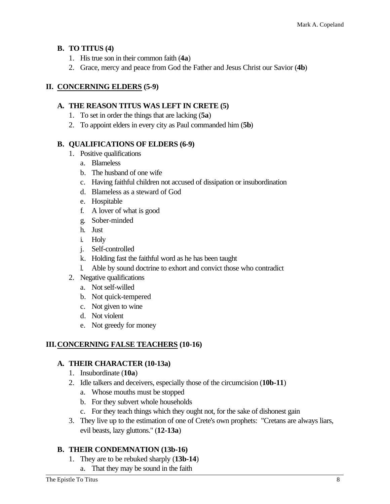#### **B. TO TITUS (4)**

- 1. His true son in their common faith (**4a**)
- 2. Grace, mercy and peace from God the Father and Jesus Christ our Savior (**4b**)

#### **II. CONCERNING ELDERS (5-9)**

#### **A. THE REASON TITUS WAS LEFT IN CRETE (5)**

- 1. To set in order the things that are lacking (**5a**)
- 2. To appoint elders in every city as Paul commanded him (**5b**)

#### **B. QUALIFICATIONS OF ELDERS (6-9)**

- 1. Positive qualifications
	- a. Blameless
	- b. The husband of one wife
	- c. Having faithful children not accused of dissipation or insubordination
	- d. Blameless as a steward of God
	- e. Hospitable
	- f. A lover of what is good
	- g. Sober-minded
	- h. Just
	- i. Holy
	- j. Self-controlled
	- k. Holding fast the faithful word as he has been taught
	- l. Able by sound doctrine to exhort and convict those who contradict
- 2. Negative qualifications
	- a. Not self-willed
	- b. Not quick-tempered
	- c. Not given to wine
	- d. Not violent
	- e. Not greedy for money

#### **III.CONCERNING FALSE TEACHERS (10-16)**

#### **A. THEIR CHARACTER (10-13a)**

- 1. Insubordinate (**10a**)
- 2. Idle talkers and deceivers, especially those of the circumcision (**10b-11**)
	- a. Whose mouths must be stopped
	- b. For they subvert whole households
	- c. For they teach things which they ought not, for the sake of dishonest gain
- 3. They live up to the estimation of one of Crete's own prophets: "Cretans are always liars, evil beasts, lazy gluttons." (**12-13a**)

#### **B. THEIR CONDEMNATION (13b-16)**

- 1. They are to be rebuked sharply (**13b-14**)
	- a. That they may be sound in the faith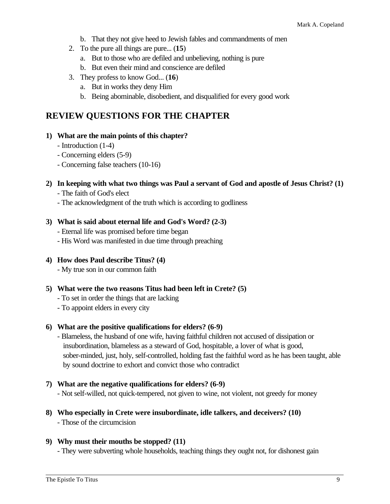- b. That they not give heed to Jewish fables and commandments of men
- 2. To the pure all things are pure... (**15**)
	- a. But to those who are defiled and unbelieving, nothing is pure
	- b. But even their mind and conscience are defiled
- 3. They profess to know God... (**16**)
	- a. But in works they deny Him
	- b. Being abominable, disobedient, and disqualified for every good work

# **REVIEW QUESTIONS FOR THE CHAPTER**

- **1) What are the main points of this chapter?**
	- Introduction (1-4)
	- Concerning elders (5-9)
	- Concerning false teachers (10-16)

#### **2) In keeping with what two things was Paul a servant of God and apostle of Jesus Christ? (1)** - The faith of God's elect

- The acknowledgment of the truth which is according to godliness

#### **3) What is said about eternal life and God's Word? (2-3)**

- Eternal life was promised before time began
- His Word was manifested in due time through preaching
- **4) How does Paul describe Titus? (4)**
	- My true son in our common faith
- **5) What were the two reasons Titus had been left in Crete? (5)**
	- To set in order the things that are lacking
	- To appoint elders in every city

#### **6) What are the positive qualifications for elders? (6-9)**

- Blameless, the husband of one wife, having faithful children not accused of dissipation or insubordination, blameless as a steward of God, hospitable, a lover of what is good, sober-minded, just, holy, self-controlled, holding fast the faithful word as he has been taught, able by sound doctrine to exhort and convict those who contradict
- **7) What are the negative qualifications for elders? (6-9)** - Not self-willed, not quick-tempered, not given to wine, not violent, not greedy for money
- **8) Who especially in Crete were insubordinate, idle talkers, and deceivers? (10)** - Those of the circumcision

#### **9) Why must their mouths be stopped? (11)**

- They were subverting whole households, teaching things they ought not, for dishonest gain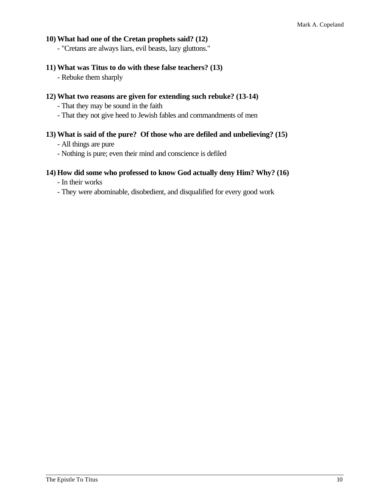#### **10) What had one of the Cretan prophets said? (12)**

- "Cretans are always liars, evil beasts, lazy gluttons."

#### **11) What was Titus to do with these false teachers? (13)**

- Rebuke them sharply

#### **12) What two reasons are given for extending such rebuke? (13-14)**

- That they may be sound in the faith
- That they not give heed to Jewish fables and commandments of men

#### **13) What is said of the pure? Of those who are defiled and unbelieving? (15)**

- All things are pure
- Nothing is pure; even their mind and conscience is defiled

#### **14) How did some who professed to know God actually deny Him? Why? (16)**

- In their works
- They were abominable, disobedient, and disqualified for every good work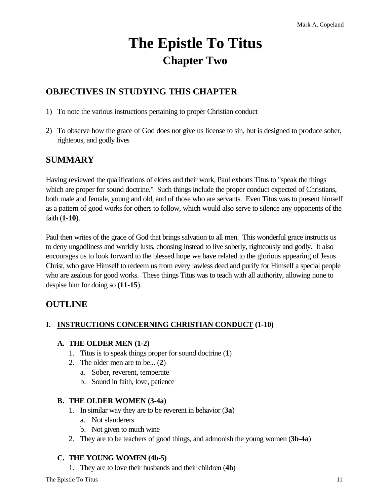# **The Epistle To Titus Chapter Two**

# **OBJECTIVES IN STUDYING THIS CHAPTER**

- 1) To note the various instructions pertaining to proper Christian conduct
- 2) To observe how the grace of God does not give us license to sin, but is designed to produce sober, righteous, and godly lives

## **SUMMARY**

Having reviewed the qualifications of elders and their work, Paul exhorts Titus to "speak the things which are proper for sound doctrine." Such things include the proper conduct expected of Christians, both male and female, young and old, and of those who are servants. Even Titus was to present himself as a pattern of good works for others to follow, which would also serve to silence any opponents of the faith (**1-10**).

Paul then writes of the grace of God that brings salvation to all men. This wonderful grace instructs us to deny ungodliness and worldly lusts, choosing instead to live soberly, righteously and godly. It also encourages us to look forward to the blessed hope we have related to the glorious appearing of Jesus Christ, who gave Himself to redeem us from every lawless deed and purify for Himself a special people who are zealous for good works. These things Titus was to teach with all authority, allowing none to despise him for doing so (**11-15**).

# **OUTLINE**

#### **I. INSTRUCTIONS CONCERNING CHRISTIAN CONDUCT (1-10)**

#### **A. THE OLDER MEN (1-2)**

- 1. Titus is to speak things proper for sound doctrine (**1**)
- 2. The older men are to be... (**2**)
	- a. Sober, reverent, temperate
	- b. Sound in faith, love, patience

#### **B. THE OLDER WOMEN (3-4a)**

- 1. In similar way they are to be reverent in behavior (**3a**)
	- a. Not slanderers
	- b. Not given to much wine
- 2. They are to be teachers of good things, and admonish the young women (**3b-4a**)

#### **C. THE YOUNG WOMEN (4b-5)**

1. They are to love their husbands and their children (**4b**)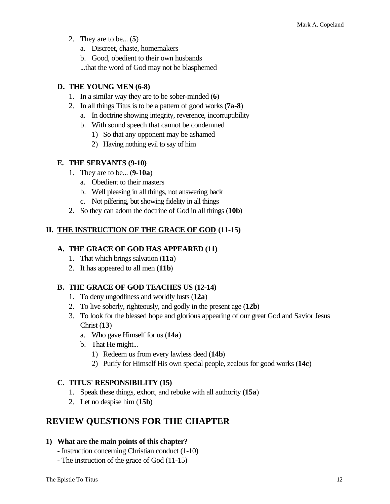- 2. They are to be... (**5**)
	- a. Discreet, chaste, homemakers

b. Good, obedient to their own husbands

...that the word of God may not be blasphemed

#### **D. THE YOUNG MEN (6-8)**

- 1. In a similar way they are to be sober-minded (**6**)
- 2. In all things Titus is to be a pattern of good works (**7a-8**)
	- a. In doctrine showing integrity, reverence, incorruptibility
	- b. With sound speech that cannot be condemned
		- 1) So that any opponent may be ashamed
		- 2) Having nothing evil to say of him

#### **E. THE SERVANTS (9-10)**

- 1. They are to be... (**9-10a**)
	- a. Obedient to their masters
	- b. Well pleasing in all things, not answering back
	- c. Not pilfering, but showing fidelity in all things
- 2. So they can adorn the doctrine of God in all things (**10b**)

#### **II. THE INSTRUCTION OF THE GRACE OF GOD (11-15)**

#### **A. THE GRACE OF GOD HAS APPEARED (11)**

- 1. That which brings salvation (**11a**)
- 2. It has appeared to all men (**11b**)

#### **B. THE GRACE OF GOD TEACHES US (12-14)**

- 1. To deny ungodliness and worldly lusts (**12a**)
- 2. To live soberly, righteously, and godly in the present age (**12b**)
- 3. To look for the blessed hope and glorious appearing of our great God and Savior Jesus Christ (**13**)
	- a. Who gave Himself for us (**14a**)
	- b. That He might...
		- 1) Redeem us from every lawless deed (**14b**)
		- 2) Purify for Himself His own special people, zealous for good works (**14c**)

#### **C. TITUS' RESPONSIBILITY (15)**

- 1. Speak these things, exhort, and rebuke with all authority (**15a**)
- 2. Let no despise him (**15b**)

## **REVIEW QUESTIONS FOR THE CHAPTER**

#### **1) What are the main points of this chapter?**

- Instruction concerning Christian conduct (1-10)
- The instruction of the grace of God (11-15)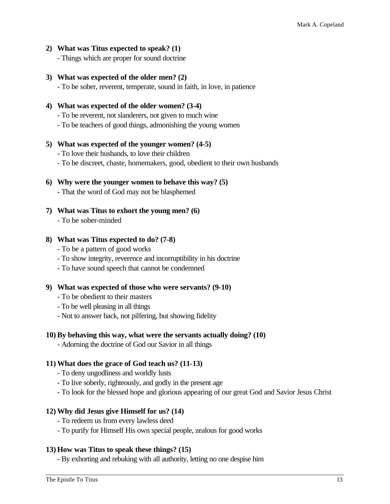- **2) What was Titus expected to speak? (1)**
	- Things which are proper for sound doctrine
- **3) What was expected of the older men? (2)**
	- To be sober, reverent, temperate, sound in faith, in love, in patience
- **4) What was expected of the older women? (3-4)**
	- To be reverent, not slanderers, not given to much wine
	- To be teachers of good things, admonishing the young women
- **5) What was expected of the younger women? (4-5)**
	- To love their husbands, to love their children
	- To be discreet, chaste, homemakers, good, obedient to their own husbands
- **6) Why were the younger women to behave this way? (5)** - That the word of God may not be blasphemed
- **7) What was Titus to exhort the young men? (6)** - To be sober-minded

#### **8) What was Titus expected to do? (7-8)**

- To be a pattern of good works
- To show integrity, reverence and incorruptibility in his doctrine
- To have sound speech that cannot be condemned

#### **9) What was expected of those who were servants? (9-10)**

- To be obedient to their masters
- To be well pleasing in all things
- Not to answer back, not pilfering, but showing fidelity

#### **10) By behaving this way, what were the servants actually doing? (10)**

- Adorning the doctrine of God our Savior in all things

#### **11) What does the grace of God teach us? (11-13)**

- To deny ungodliness and worldly lusts
- To live soberly, righteously, and godly in the present age
- To look for the blessed hope and glorious appearing of our great God and Savior Jesus Christ

#### **12) Why did Jesus give Himself for us? (14)**

- To redeem us from every lawless deed
- To purify for Himself His own special people, zealous for good works

#### **13) How was Titus to speak these things? (15)**

- By exhorting and rebuking with all authority, letting no one despise him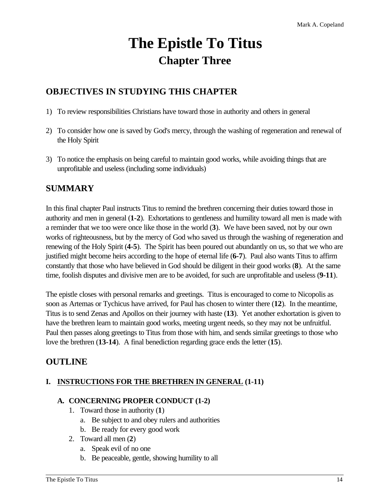# **The Epistle To Titus Chapter Three**

# **OBJECTIVES IN STUDYING THIS CHAPTER**

- 1) To review responsibilities Christians have toward those in authority and others in general
- 2) To consider how one is saved by God's mercy, through the washing of regeneration and renewal of the Holy Spirit
- 3) To notice the emphasis on being careful to maintain good works, while avoiding things that are unprofitable and useless (including some individuals)

# **SUMMARY**

In this final chapter Paul instructs Titus to remind the brethren concerning their duties toward those in authority and men in general (**1-2**). Exhortations to gentleness and humility toward all men is made with a reminder that we too were once like those in the world (**3**). We have been saved, not by our own works of righteousness, but by the mercy of God who saved us through the washing of regeneration and renewing of the Holy Spirit (**4-5**). The Spirit has been poured out abundantly on us, so that we who are justified might become heirs according to the hope of eternal life (**6-7**). Paul also wants Titus to affirm constantly that those who have believed in God should be diligent in their good works (**8**). At the same time, foolish disputes and divisive men are to be avoided, for such are unprofitable and useless (**9-11**).

The epistle closes with personal remarks and greetings. Titus is encouraged to come to Nicopolis as soon as Artemas or Tychicus have arrived, for Paul has chosen to winter there (**12**). In the meantime, Titus is to send Zenas and Apollos on their journey with haste (**13**). Yet another exhortation is given to have the brethren learn to maintain good works, meeting urgent needs, so they may not be unfruitful. Paul then passes along greetings to Titus from those with him, and sends similar greetings to those who love the brethren (**13-14**). A final benediction regarding grace ends the letter (**15**).

# **OUTLINE**

#### **I. INSTRUCTIONS FOR THE BRETHREN IN GENERAL (1-11)**

#### **A. CONCERNING PROPER CONDUCT (1-2)**

- 1. Toward those in authority (**1**)
	- a. Be subject to and obey rulers and authorities
	- b. Be ready for every good work
- 2. Toward all men (**2**)
	- a. Speak evil of no one
	- b. Be peaceable, gentle, showing humility to all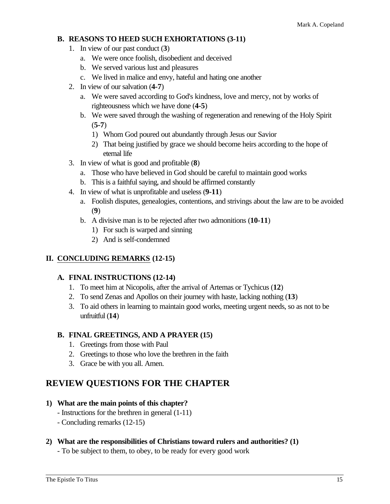#### **B. REASONS TO HEED SUCH EXHORTATIONS (3-11)**

- 1. In view of our past conduct (**3**)
	- a. We were once foolish, disobedient and deceived
	- b. We served various lust and pleasures
	- c. We lived in malice and envy, hateful and hating one another
- 2. In view of our salvation (**4-7**)
	- a. We were saved according to God's kindness, love and mercy, not by works of righteousness which we have done (**4-5**)
	- b. We were saved through the washing of regeneration and renewing of the Holy Spirit (**5-7**)
		- 1) Whom God poured out abundantly through Jesus our Savior
		- 2) That being justified by grace we should become heirs according to the hope of eternal life
- 3. In view of what is good and profitable (**8**)
	- a. Those who have believed in God should be careful to maintain good works
	- b. This is a faithful saying, and should be affirmed constantly
- 4. In view of what is unprofitable and useless (**9-11**)
	- a. Foolish disputes, genealogies, contentions, and strivings about the law are to be avoided (**9**)
	- b. A divisive man is to be rejected after two admonitions (**10-11**)
		- 1) For such is warped and sinning
		- 2) And is self-condemned

#### **II. CONCLUDING REMARKS (12-15)**

#### **A. FINAL INSTRUCTIONS (12-14)**

- 1. To meet him at Nicopolis, after the arrival of Artemas or Tychicus (**12**)
- 2. To send Zenas and Apollos on their journey with haste, lacking nothing (**13**)
- 3. To aid others in learning to maintain good works, meeting urgent needs, so as not to be unfruitful (**14**)

#### **B. FINAL GREETINGS, AND A PRAYER (15)**

- 1. Greetings from those with Paul
- 2. Greetings to those who love the brethren in the faith
- 3. Grace be with you all. Amen.

# **REVIEW QUESTIONS FOR THE CHAPTER**

#### **1) What are the main points of this chapter?**

- Instructions for the brethren in general (1-11)
- Concluding remarks (12-15)

#### **2) What are the responsibilities of Christians toward rulers and authorities? (1)**

- To be subject to them, to obey, to be ready for every good work